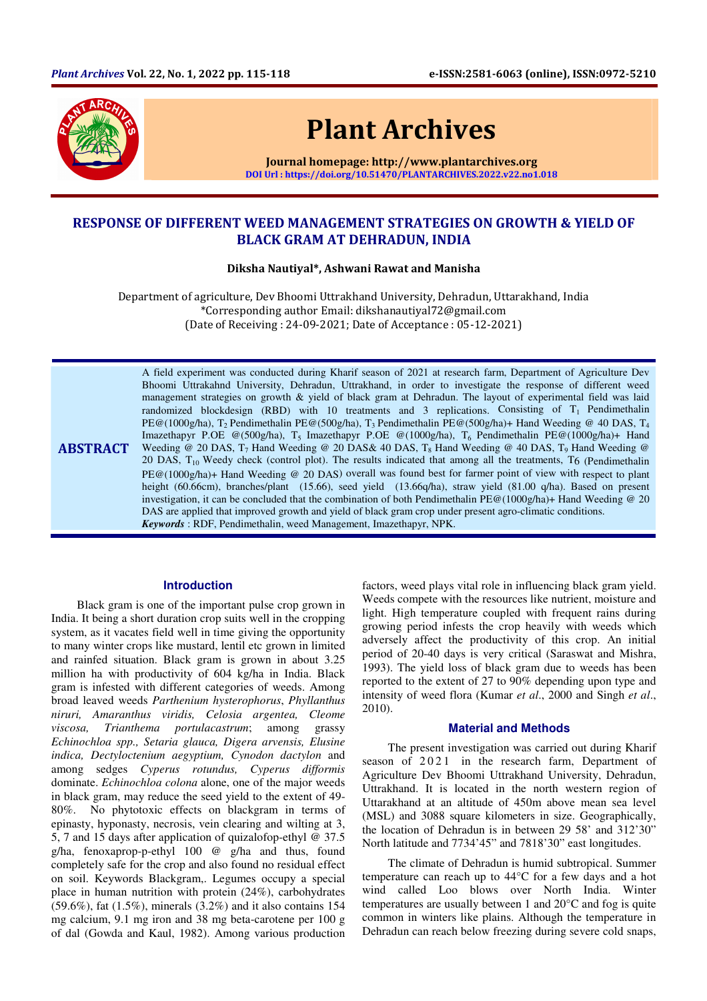

# Plant Archives

Journal homepage: http://www.plantarchives.org DOI Url : https://doi.org/10.51470/PLANTARCHIVES.2022.v22.no1.018

# RESPONSE OF DIFFERENT WEED MANAGEMENT STRATEGIES ON GROWTH & YIELD OF BLACK GRAM AT DEHRADUN, INDIA

Diksha Nautiyal\*, Ashwani Rawat and Manisha

Department of agriculture, Dev Bhoomi Uttrakhand University, Dehradun, Uttarakhand, India \*Corresponding author Email: dikshanautiyal72@gmail.com (Date of Receiving : 24-09-2021; Date of Acceptance : 05-12-2021)

**ABSTRACT** A field experiment was conducted during Kharif season of 2021 at research farm, Department of Agriculture Dev Bhoomi Uttrakahnd University, Dehradun, Uttrakhand, in order to investigate the response of different weed management strategies on growth & yield of black gram at Dehradun. The layout of experimental field was laid randomized blockdesign (RBD) with 10 treatments and 3 replications. Consisting of  $T_1$  Pendimethalin PE@(1000g/ha), T2 Pendimethalin PE@(500g/ha), T3 Pendimethalin PE@(500g/ha)+ Hand Weeding @ 40 DAS, T<sup>4</sup> Imazethapyr P.OE @(500g/ha), T<sub>5</sub> Imazethapyr P.OE @(1000g/ha), T<sub>6</sub> Pendimethalin PE@(1000g/ha)+ Hand Weeding @ 20 DAS,  $T_7$  Hand Weeding @ 20 DAS& 40 DAS,  $T_8$  Hand Weeding @ 40 DAS,  $T_9$  Hand Weeding @ 20 DAS,  $T_{10}$  Weedy check (control plot). The results indicated that among all the treatments, T<sub>6</sub> (Pendimethalin PE@(1000g/ha)+ Hand Weeding @ 20 DAS) overall was found best for farmer point of view with respect to plant height (60.66cm), branches/plant (15.66), seed yield (13.66q/ha), straw yield (81.00 q/ha). Based on present investigation, it can be concluded that the combination of both Pendimethalin PE@(1000g/ha)+ Hand Weeding @ 20 DAS are applied that improved growth and yield of black gram crop under present agro-climatic conditions. *Keywords* : RDF, Pendimethalin, weed Management, Imazethapyr, NPK.

#### **Introduction**

Black gram is one of the important pulse crop grown in India. It being a short duration crop suits well in the cropping system, as it vacates field well in time giving the opportunity to many winter crops like mustard, lentil etc grown in limited and rainfed situation. Black gram is grown in about 3.25 million ha with productivity of 604 kg/ha in India. Black gram is infested with different categories of weeds. Among broad leaved weeds *Parthenium hysterophorus*, *Phyllanthus niruri, Amaranthus viridis, Celosia argentea, Cleome viscosa, Trianthema portulacastrum*; among grassy *Echinochloa spp., Setaria glauca, Digera arvensis, Elusine indica, Dectyloctenium aegyptium, Cynodon dactylon* and among sedges *Cyperus rotundus, Cyperus difformis* dominate. *Echinochloa colona* alone, one of the major weeds in black gram, may reduce the seed yield to the extent of 49- 80%. No phytotoxic effects on blackgram in terms of epinasty, hyponasty, necrosis, vein clearing and wilting at 3, 5, 7 and 15 days after application of quizalofop-ethyl @ 37.5 g/ha, fenoxaprop-p-ethyl 100 @ g/ha and thus, found completely safe for the crop and also found no residual effect on soil. Keywords Blackgram,. Legumes occupy a special place in human nutrition with protein (24%), carbohydrates (59.6%), fat (1.5%), minerals (3.2%) and it also contains 154 mg calcium, 9.1 mg iron and 38 mg beta-carotene per 100 g of dal (Gowda and Kaul, 1982). Among various production

factors, weed plays vital role in influencing black gram yield. Weeds compete with the resources like nutrient, moisture and light. High temperature coupled with frequent rains during growing period infests the crop heavily with weeds which adversely affect the productivity of this crop. An initial period of 20-40 days is very critical (Saraswat and Mishra, 1993). The yield loss of black gram due to weeds has been reported to the extent of 27 to 90% depending upon type and intensity of weed flora (Kumar *et al*., 2000 and Singh *et al*., 2010).

# **Material and Methods**

The present investigation was carried out during Kharif season of 2021 in the research farm, Department of Agriculture Dev Bhoomi Uttrakhand University, Dehradun, Uttrakhand. It is located in the north western region of Uttarakhand at an altitude of 450m above mean sea level (MSL) and 3088 square kilometers in size. Geographically, the location of Dehradun is in between 29 58' and 312'30" North latitude and 7734'45" and 7818'30" east longitudes.

The climate of Dehradun is humid subtropical. Summer temperature can reach up to 44°C for a few days and a hot wind called Loo blows over North India. Winter temperatures are usually between 1 and 20°C and fog is quite common in winters like plains. Although the temperature in Dehradun can reach below freezing during severe cold snaps,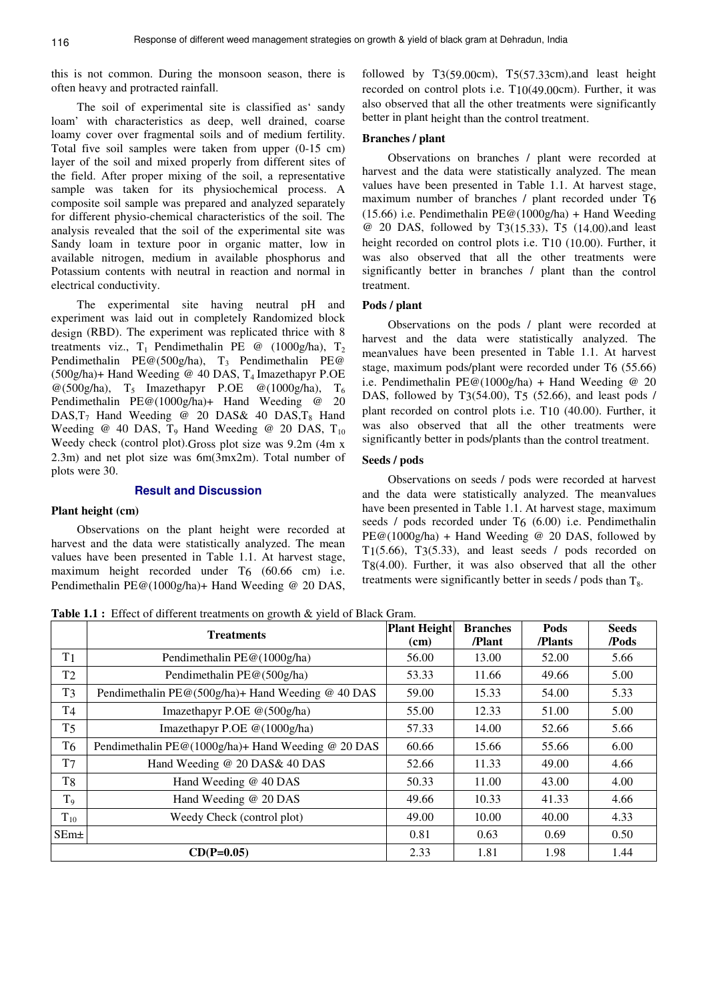this is not common. During the monsoon season, there is often heavy and protracted rainfall.

The soil of experimental site is classified as' sandy loam' with characteristics as deep, well drained, coarse loamy cover over fragmental soils and of medium fertility. Total five soil samples were taken from upper (0-15 cm) layer of the soil and mixed properly from different sites of the field. After proper mixing of the soil, a representative sample was taken for its physiochemical process. A composite soil sample was prepared and analyzed separately for different physio-chemical characteristics of the soil. The analysis revealed that the soil of the experimental site was Sandy loam in texture poor in organic matter, low in available nitrogen, medium in available phosphorus and Potassium contents with neutral in reaction and normal in electrical conductivity.

The experimental site having neutral pH and experiment was laid out in completely Randomized block design (RBD). The experiment was replicated thrice with 8 treatments viz.,  $T_1$  Pendimethalin PE @ (1000g/ha),  $T_2$ Pendimethalin PE@(500g/ha),  $T_3$  Pendimethalin PE@  $(500g/ha)$ + Hand Weeding @ 40 DAS, T<sub>4</sub> Imazethapyr P.OE  $@(500g/ha)$ , T<sub>5</sub> Imazethapyr P.OE  $@(1000g/ha)$ , T<sub>6</sub> Pendimethalin PE@(1000g/ha)+ Hand Weeding @ 20 DAS,  $T_7$  Hand Weeding @ 20 DAS& 40 DAS,  $T_8$  Hand Weeding @ 40 DAS,  $T_9$  Hand Weeding @ 20 DAS,  $T_{10}$ Weedy check (control plot).Gross plot size was 9.2m (4m x 2.3m) and net plot size was 6m(3mx2m). Total number of plots were 30.

# **Result and Discussion**

# **Plant height (cm)**

Observations on the plant height were recorded at harvest and the data were statistically analyzed. The mean values have been presented in Table 1.1. At harvest stage, maximum height recorded under T6 (60.66 cm) i.e. Pendimethalin PE@(1000g/ha)+ Hand Weeding @ 20 DAS,

followed by T3(59.00cm), T5(57.33cm),and least height recorded on control plots i.e. T10(49.00cm). Further, it was also observed that all the other treatments were significantly better in plant height than the control treatment.

#### **Branches / plant**

Observations on branches / plant were recorded at harvest and the data were statistically analyzed. The mean values have been presented in Table 1.1. At harvest stage, maximum number of branches / plant recorded under T6  $(15.66)$  i.e. Pendimethalin PE@( $1000g/ha$ ) + Hand Weeding @ 20 DAS, followed by T3(15.33), T5 (14.00),and least height recorded on control plots i.e. T10 (10.00). Further, it was also observed that all the other treatments were significantly better in branches / plant than the control treatment.

#### **Pods / plant**

Observations on the pods / plant were recorded at harvest and the data were statistically analyzed. The meanvalues have been presented in Table 1.1. At harvest stage, maximum pods/plant were recorded under T6 (55.66) i.e. Pendimethalin  $PE@(1000g/ha) + Hand Weeding @ 20$ DAS, followed by T3(54.00), T5 (52.66), and least pods / plant recorded on control plots i.e. T10 (40.00). Further, it was also observed that all the other treatments were significantly better in pods/plants than the control treatment.

# **Seeds / pods**

Observations on seeds / pods were recorded at harvest and the data were statistically analyzed. The meanvalues have been presented in Table 1.1. At harvest stage, maximum seeds / pods recorded under T6 (6.00) i.e. Pendimethalin  $PE@(1000g/ha) + Hand Weeding @ 20 DAS, followed by$ T1(5.66), T3(5.33), and least seeds / pods recorded on T8(4.00). Further, it was also observed that all the other treatments were significantly better in seeds / pods than T<sub>o</sub>.

Table 1.1 : Effect of different treatments on growth & yield of Black Gram.

|                | <b>Treatments</b>                                  | <b>Plant Height</b> | <b>Branches</b> | Pods    | <b>Seeds</b> |
|----------------|----------------------------------------------------|---------------------|-----------------|---------|--------------|
|                |                                                    | (cm)                | /Plant          | /Plants | /Pods        |
| T1             | Pendimethalin PE@(1000g/ha)                        | 56.00               | 13.00           | 52.00   | 5.66         |
| T <sub>2</sub> | Pendimethalin PE@(500g/ha)                         | 53.33               | 11.66           | 49.66   | 5.00         |
| T <sub>3</sub> | Pendimethalin PE@(500g/ha)+ Hand Weeding @ 40 DAS  | 59.00               | 15.33           | 54.00   | 5.33         |
| T4             | Imazethapyr P.OE @(500g/ha)                        | 55.00               | 12.33           | 51.00   | 5.00         |
| <b>T5</b>      | Imazethapyr P.OE $@(1000g/ha)$                     | 57.33               | 14.00           | 52.66   | 5.66         |
| T <sub>6</sub> | Pendimethalin PE@(1000g/ha)+ Hand Weeding @ 20 DAS | 60.66               | 15.66           | 55.66   | 6.00         |
| T7             | Hand Weeding @ 20 DAS& 40 DAS                      | 52.66               | 11.33           | 49.00   | 4.66         |
| T8             | Hand Weeding @ 40 DAS                              | 50.33               | 11.00           | 43.00   | 4.00         |
| T <sub>9</sub> | Hand Weeding @ 20 DAS                              | 49.66               | 10.33           | 41.33   | 4.66         |
| $T_{10}$       | Weedy Check (control plot)                         | 49.00               | 10.00           | 40.00   | 4.33         |
| $SEm\pm$       |                                                    | 0.81                | 0.63            | 0.69    | 0.50         |
| $CD(P=0.05)$   |                                                    | 2.33                | 1.81            | 1.98    | 1.44         |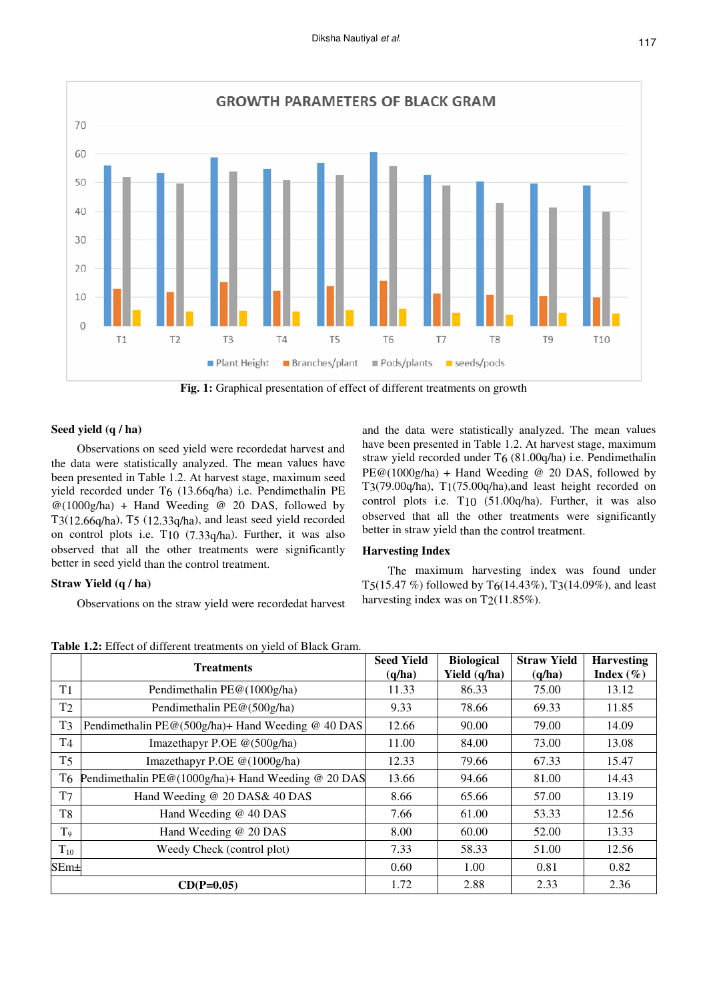

**Fig. 1:** Graphical presentation of effect of different treatments on growth

# **Seed yield (q / ha)**

Observations on seed yield were recordedat harvest and the data were statistically analyzed. The mean values have been presented in Table 1.2. At harvest stage, maximum seed yield recorded under T6 (13.66q/ha) i.e. Pendimethalin PE @(1000g/ha) + Hand Weeding @ 20 DAS, followed by T3(12.66q/ha), T5 (12.33q/ha), and least seed yield recorded on control plots i.e. T10 (7.33q/ha). Further, it was also observed that all the other treatments were significantly better in seed yield than the control treatment.

# **Straw Yield (q / ha)**

Observations on the straw yield were recordedat harvest

and the data were statistically analyzed. The mean values have been presented in Table 1.2. At harvest stage, maximum straw yield recorded under T6 (81.00q/ha) i.e. Pendimethalin  $PE@(1000g/ha) + Hand Weeding @ 20 DAS, followed by$ T3(79.00q/ha), T1(75.00q/ha),and least height recorded on control plots i.e. T10 (51.00q/ha). Further, it was also observed that all the other treatments were significantly better in straw yield than the control treatment.

# **Harvesting Index**

The maximum harvesting index was found under T5(15.47 %) followed by T6(14.43%), T3(14.09%), and least harvesting index was on  $T2(11.85\%)$ .

**Treatments Seed Yield (q/ha) Biological Yield (q/ha) Straw Yield (q/ha) Harvesting Index (%)**  T1 Pendimethalin PE@(1000g/ha) 11.33 86.33 75.00 13.12 T<sub>2</sub> Pendimethalin PE@(500g/ha) 9.33 78.66 69.33 11.85 T3 Pendimethalin PE@(500g/ha)+ Hand Weeding @ 40 DAS 12.66 90.00 79.00 14.09 T4 Imazethapyr P.OE @(500g/ha) 11.00 84.00 73.00 13.08 T<sub>5</sub> Imazethapyr P.OE @(1000g/ha) 12.33 79.66 67.33 15.47 T6 Pendimethalin PE@(1000g/ha)+ Hand Weeding @ 20 DAS 13.66 94.66 81.00 14.43  $T7$  Hand Weeding @ 20 DAS  $\&$  40 DAS 8.66 65.66 57.00 13.19 T8 Hand Weeding @ 40 DAS 7.66 61.00 53.33 12.56  $T_9$  Hand Weeding @ 20 DAS 8.00 60.00 52.00 13.33  $T_{10}$  Weedy Check (control plot) 7.33 58.33 51.00 12.56  $\text{SEM} \pm \begin{bmatrix} 0.60 & 1.00 & 0.81 & 0.82 \end{bmatrix}$ **CD(P=0.05)** 1.72 2.88 2.33 2.36

**Table 1.2:** Effect of different treatments on yield of Black Gram.